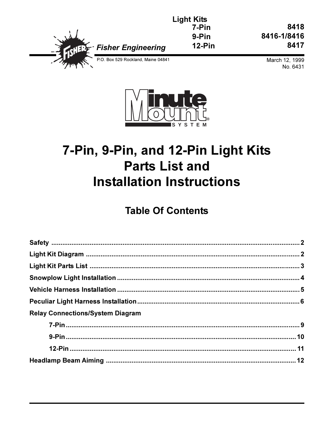|                                    | <b>Light Kits</b><br>7-Pir |
|------------------------------------|----------------------------|
|                                    | 9-Pir                      |
| · Fisher Engineering               | $12-P$                     |
| P.O. Box 529 Rockland, Maine 04841 |                            |

8418 8416-1/8416 8417

> March 12, 1999 No. 6431



7-Pin

9-Pin

 $12-Pin$ 

# 7-Pin, 9-Pin, and 12-Pin Light Kits **Parts List and Installation Instructions**

## **Table Of Contents**

| <b>Relay Connections/System Diagram</b> |  |
|-----------------------------------------|--|
|                                         |  |
|                                         |  |
|                                         |  |
|                                         |  |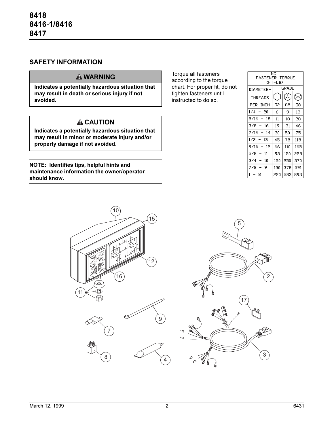#### **SAFETY INFORMATION**

#### **WARNING**

**Indicates a potentially hazardous situation that may result in death or serious injury if not avoided.**

## **A CAUTION**

**Indicates a potentially hazardous situation that may result in minor or moderate injury and/or property damage if not avoided.**

**NOTE: Identifies tips, helpful hints and maintenance information the owner/operator should know.**

Torque all fasteners according to the torque chart. For proper fit, do not tighten fasteners until instructed to do so.

| ΝC<br>FASTENER TORQUE<br>(FT-LB) |       |     |              |  |  |  |
|----------------------------------|-------|-----|--------------|--|--|--|
| DIAMETER-                        | GRADE |     |              |  |  |  |
| <b>THREADS</b>                   |       |     | <del>ৣ</del> |  |  |  |
| PER INCH                         | G2    | G5  | G8           |  |  |  |
| 20<br>1/4                        | 6     | 9   | 13           |  |  |  |
| 5/16<br>18                       | 11    | 18  | 28           |  |  |  |
| 3/8<br>16                        | 19    | 31  | 46           |  |  |  |
| 7/16<br>14                       | 30    | 50  | 75           |  |  |  |
| 1/2<br>13                        | 45    | 75  | 115          |  |  |  |
| 12<br>9/16                       | 66    | 110 | 165          |  |  |  |
| 5/8<br>11                        | 93    | 150 | 225          |  |  |  |
| 3/4<br>10                        | 150   | 250 | 370          |  |  |  |
| 9<br>7/8                         | 150   | 378 | 591          |  |  |  |
| $\mathbf{1}$<br>8                | 220   | 583 | 893          |  |  |  |

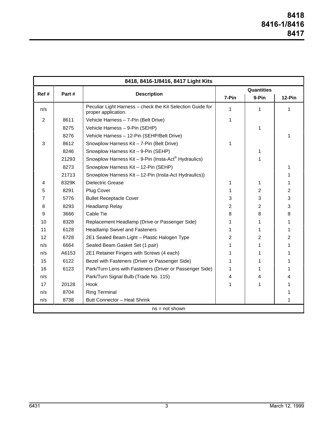| 8418, 8416-1/8416, 8417 Light Kits |       |                                                                                   |                   |        |   |  |  |
|------------------------------------|-------|-----------------------------------------------------------------------------------|-------------------|--------|---|--|--|
|                                    |       | <b>Description</b>                                                                | <b>Quantities</b> |        |   |  |  |
| Ref#<br>Part#                      | 7-Pin |                                                                                   | 9-Pin             | 12-Pin |   |  |  |
| n/s                                |       | Peculiar Light Harness - check the Kit Selection Guide for<br>proper application. | 1                 | 1      | 1 |  |  |
| $\overline{2}$                     | 8611  | Vehicle Harness - 7-Pin (Belt Drive)                                              | 1                 |        |   |  |  |
|                                    | 8275  | Vehicle Harness - 9-Pin (SEHP)                                                    |                   | 1      |   |  |  |
|                                    | 8276  | Vehicle Harness - 12-Pin (SEHP/Belt Drive)                                        |                   |        | 1 |  |  |
| 3                                  | 8612  | Snowplow Harness Kit - 7-Pin (Belt Drive)                                         | 1                 |        |   |  |  |
|                                    | 8246  | Snowplow Harness Kit - 9-Pin (SEHP)                                               |                   | 1      |   |  |  |
|                                    | 21293 | Snowplow Harness Kit - 9-Pin (Insta-Act <sup>®</sup> Hydraulics)                  |                   | 1      |   |  |  |
|                                    | 8273  | Snowplow Harness Kit - 12-Pin (SEHP)                                              |                   |        | 1 |  |  |
|                                    | 21713 | Snowplow Harness Kit - 12-Pin (Insta-Act Hydraulics))                             |                   |        | 1 |  |  |
| 4                                  | 8329K | <b>Dielectric Grease</b>                                                          | 1                 | 1      | 1 |  |  |
| 5                                  | 8291  | <b>Plug Cover</b>                                                                 | 1                 | 2      | 2 |  |  |
| 7                                  | 5776  | <b>Bullet Receptacle Cover</b>                                                    | 3                 | 3      | 3 |  |  |
| 8                                  | 8293  | Headlamp Relay                                                                    | $\overline{c}$    | 2      | 3 |  |  |
| 9                                  | 3666  | Cable Tie                                                                         | 8                 | 8      | 8 |  |  |
| 10                                 | 8328  | Replacement Headlamp (Drive or Passenger Side)                                    | 1                 | 1      | 1 |  |  |
| 11                                 | 6128  | <b>Headlamp Swivel and Fasteners</b>                                              | 1                 | 1      | 1 |  |  |
| 12                                 | 6728  | 2E1 Sealed Beam Light - Plastic Halogen Type                                      | 2                 | 2      | 2 |  |  |
| n/s                                | 6664  | Sealed Beam Gasket Set (1 pair)                                                   |                   | 1      | 1 |  |  |
| n/s                                | A6153 | 2E1 Retainer Fingers with Screws (4 each)                                         | 1                 | 1      | 1 |  |  |
| 15                                 | 6122  | Bezel with Fasteners (Driver or Passenger Side)                                   | 1                 | 1      | 1 |  |  |
| 16                                 | 6123  | Park/Turn Lens with Fasteners (Driver or Passenger Side)                          | 1                 | 1      | 1 |  |  |
| n/s                                |       | Park/Turn Signal Bulb (Trade No. 115)                                             | 4                 | 4      | 4 |  |  |
| 17                                 | 20128 | Hook                                                                              | 1                 | 1      | 1 |  |  |
| n/s                                | 8704  | <b>Ring Terminal</b>                                                              |                   |        | 1 |  |  |
| n/s                                | 8738  | Butt Connector - Heat Shrink                                                      |                   |        | 1 |  |  |
| $ns = not shown$                   |       |                                                                                   |                   |        |   |  |  |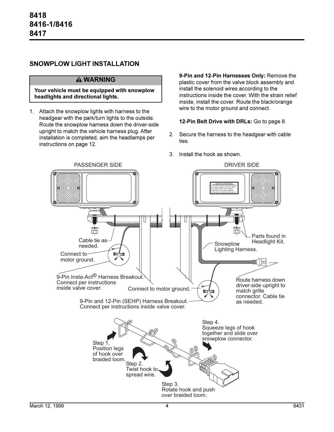#### **SNOWPLOW LIGHT INSTALLATION**

#### **WARNING**

#### **Your vehicle must be equipped with snowplow headlights and directional lights.**

1. Attach the snowplow lights with harness to the headgear with the park/turn lights to the outside. Route the snowplow harness down the driver-side upright to match the vehicle harness plug. After installation is completed, aim the headlamps per instructions on page 12.

**9-Pin and 12-Pin Harnesses Only:** Remove the plastic cover from the valve block assembly and install the solenoid wires according to the instructions inside the cover. With the strain relief inside, install the cover. Route the black/orange wire to the motor ground and connect.

#### **12-Pin Belt Drive with DRLs:** Go to page 8.

- 2. Secure the harness to the headgear with cable ties.
- 3. Install the hook as shown.

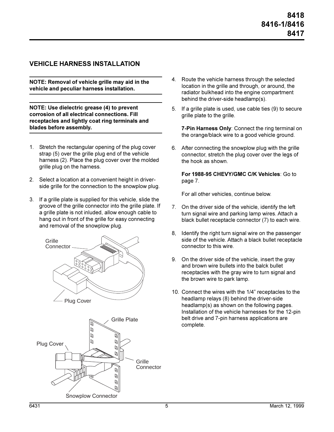#### **VEHICLE HARNESS INSTALLATION**

**NOTE: Removal of vehicle grille may aid in the vehicle and peculiar harness installation.**

**NOTE: Use dielectric grease (4) to prevent corrosion of all electrical connections. Fill receptacles and lightly coat ring terminals and blades before assembly.**

- 1. Stretch the rectangular opening of the plug cover strap (5) over the grille plug end of the vehicle harness (2). Place the plug cover over the molded grille plug on the harness.
- 2. Select a location at a convenient height in driverside grille for the connection to the snowplow plug.
- 3. If a grille plate is supplied for this vehicle, slide the groove of the grille connector into the grille plate. If a grille plate is not inluded, allow enough cable to hang out in front of the grille for easy connecting and removal of the snowplow plug.





- 4. Route the vehicle harness through the selected location in the grille and through, or around, the radiator bulkhead into the engine compartment behind the driver-side headlamp(s).
- 5. If a grille plate is used, use cable ties (9) to secure grille plate to the grille.

**7-Pin Harness Only**: Connect the ring terminal on the orange/black wire to a good vehicle ground.

6. After connecting the snowplow plug with the grille connector, stretch the plug cover over the legs of the hook as shown.

**For 1988-95 CHEVY/GMC C/K Vehicles**: Go to page 7.

For all other vehicles, continue below.

- 7. On the driver side of the vehicle, identify the left turn signal wire and parking lamp wires. Attach a black bullet receptacle connector (7) to each wire.
- 8, Identify the right turn signal wire on the passenger side of the vehicle. Attach a black bullet receptacle connector to this wire.
- 9. On the driver side of the vehicle, insert the gray and brown wire bullets into the balck bullet receptacles with the gray wire to turn signal and the brown wire to park lamp.
- 10. Connect the wires with the 1/4" receptacles to the headlamp relays (8) behind the driver-side headlamp(s) as shown on the following pages. Installation of the vehicle harnesses for the 12-pin belt drive and 7-pin harness applications are complete.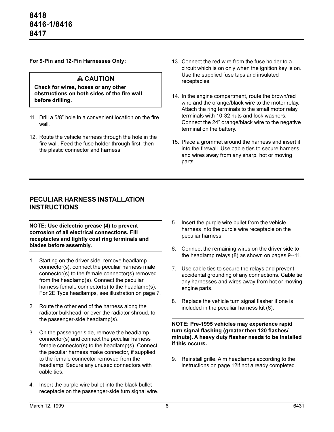**For 9-Pin and 12-Pin Harnesses Only:**

#### **A CAUTION**

**Check for wires, hoses or any other obstructions on both sides of the fire wall before drilling.**

- 11. Drill a 5/8" hole in a convenient location on the fire wall.
- 12. Route the vehicle harness through the hole in the fire wall. Feed the fuse holder through first, then the plastic connector and harness.
- 13. Connect the red wire from the fuse holder to a circuit which is on only when the ignition key is on. Use the supplied fuse taps and insulated receptacles.
- 14. In the engine compartment, route the brown/red wire and the orange/black wire to the motor relay. Attach the ring terminals to the small motor relay terminals with 10-32 nuts and lock washers. Connect the 24" orange/black wire to the negative terminal on the battery.
- 15. Place a grommet around the harness and insert it into the firewall. Use cable ties to secure harness and wires away from any sharp, hot or moving parts.

#### **PECULIAR HARNESS INSTALLATION INSTRUCTIONS**

**NOTE: Use dielectric grease (4) to prevent corrosion of all electrical connections. Fill receptacles and lightly coat ring terminals and blades before assembly.**

- 1. Starting on the driver side, remove headlamp connector(s), connect the peculiar harness male connector(s) to the female connector(s) removed from the headlamp(s). Connect the peculiar harness female connector(s) to the headlamp(s). For 2E Type headlamps, see illustration on page 7.
- 2. Route the other end of the harness along the radiator bulkhead, or over the radiator shroud, to the passenger-side headlamp(s).
- 3. On the passenger side, remove the headlamp connector(s) and connect the peculiar harness female connector(s) to the headlamp(s). Connect the peculiar harness make connector, if supplied, to the female connector removed from the headlamp. Secure any unused connectors with cable ties.
- 4. Insert the purple wire bullet into the black bullet receptacle on the passenger-side turn signal wire.
- 5. Insert the purple wire bullet from the vehicle harness into the purple wire receptacle on the peculiar harness.
- 6. Connect the remaining wires on the driver side to the headlamp relays (8) as shown on pages 9--11.
- 7. Use cable ties to secure the relays and prevent accidental grounding of any connections. Cable tie any harnesses and wires away from hot or moving engine parts.
- 8. Replace the vehicle turn signal flasher if one is included in the peculiar harness kit (6).

**NOTE: Pre-1995 vehicles may experience rapid turn signal flashing (greater then 120 flashes/ minute). A heavy duty flasher needs to be installed if this occurs.**

9. Reinstall grille. Aim headlamps according to the instructions on page 12if not already completed.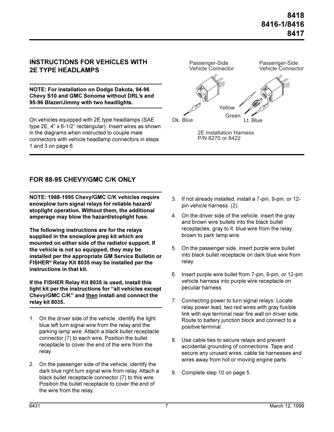#### **INSTRUCTIONS FOR VEHICLES WITH 2E TYPE HEADLAMPS**

**NOTE: For installation on Dodge Dakota, 94-96 Chevy S10 and GMC Sonoma without DRL's and 95-96 Blazer/Jimmy with two headlights.**

On vehicles equipped with 2E type headlamps (SAE type  $2E$ ,  $4"$  x  $6-1/2"$  rectangular). Insert wires as shown in the diagrams when instructed to couple male connectors with vehicle headlamp connectors in steps 1 and 3 on page 6.



## **FOR 88-95 CHEVY/GMC C/K ONLY**

**NOTE: 1988-1995 Chevy/GMC C/K vehicles require snowplow turn signal relays for reliable hazard/ stoplight operation. Without them, the additional amperage may blow the hazard/stoplight fuse.**

**The following instructions are for the relays supplied in the snowplow prep kit which are mounted on either side of the radiator support. If the vehicle is not so equipped, they may be installed per the appropriate GM Service Bulletin or FISHER® Relay Kit 8035 may be installed per the instructions in that kit.**

**If the FISHER Relay Kit 8035 is used, install this** light kit per the instructions for "all vehicles except **Chevy/GMC C/K" and then install and connect the relay kit 8035.**

- 1. On the driver side of the vehicle, identify the light blue left turn signal wire from the relay and the parking lamp wire. Attach a black bullet receptacle connector (7) to each wire. Position the bullet receptacle to cover the end of the wire from the relay.
- 2. On the passenger side of the vehicle, identify the dark blue right turn signal wire from relay. Attach a black bullet receptacle connector (7) to this wire. Position the bullet receptacle to cover the end of the wire from the relay.
- 3. If not already installed, install a 7-pin, 9-pin, or 12 pin vehicle harness. (2).
- 4. On the driver side of the vehicle, insert the gray and brown wire bullets into the black bullet receptacles, gray to lt. blue wire from the relay, brown to park lamp wire.
- 5. On the passenger side, insert purple wire bullet into black bullet receptacle on dark blue wire from relay.
- 6. Insert purple wire bullet from 7-pin, 9-pin, or 12-pin vehicle harness into purple wire receptacle on peculiar harness.
- 7. Connecting power to turn signal relays: Locate relay power lead, two red wires with gray fusible link with eye terminal near fire wall on driver side. Route to battery junction block and connect to a positive terminal.
- 8. Use cable ties to secure relays and prevent accidental grounding of connections. Tape and secure any unused wires, cable tie harnesses and wires away from hot or moving engine parts.
- 9. Complete step 10 on page 5.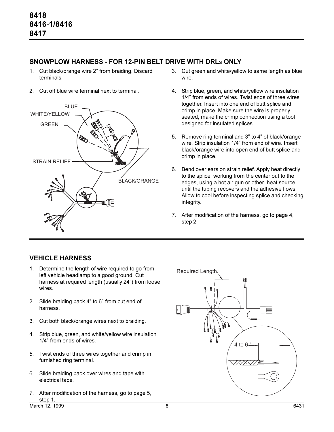## **SNOWPLOW HARNESS - FOR 12-PIN BELT DRIVE WITH DRLS ONLY**

- 1. Cut black/orange wire 2" from braiding. Discard terminals.
- 2. Cut off blue wire terminal next to terminal.



- 3. Cut green and white/yellow to same length as blue wire.
- 4. Strip blue, green, and white/yellow wire insulation 1/4" from ends of wires. Twist ends of three wires together. Insert into one end of butt splice and crimp in place. Make sure the wire is properly seated, make the crimp connection using a tool designed for insulated splices.
- 5. Remove ring terminal and 3" to 4" of black/orange wire. Strip insulation 1/4" from end of wire. Insert black/orange wire into open end of butt splice and crimp in place.
- 6. Bend over ears on strain relief. Apply heat directly to the splice, working from the center out to the edges, using a hot air gun or other heat source, until the tubing recovers and the adhesive flows. Allow to cool before inspecting splice and checking integrity.
- 7. After modification of the harness, go to page 4, step 2.

## **VEHICLE HARNESS**

- 1. Determine the length of wire required to go from left vehicle headlamp to a good ground. Cut harness at required length (usually 24") from loose wires.
- 2. Slide braiding back  $4$ " to  $6$ " from cut end of harness.
- 3. Cut both black/orange wires next to braiding.
- 4. Strip blue, green, and white/yellow wire insulation 1/4" from ends of wires.
- 5. Twist ends of three wires together and crimp in furnished ring terminal.
- 6. Slide braiding back over wires and tape with electrical tape.
- 7. After modification of the harness, go to page 5, step 1.

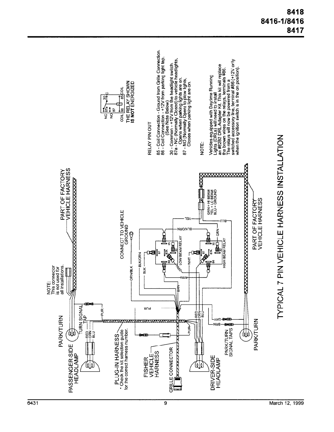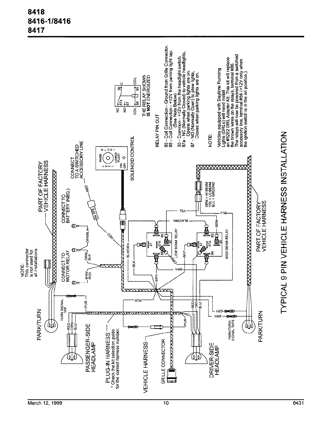## 8418 8416-1/8416 8417

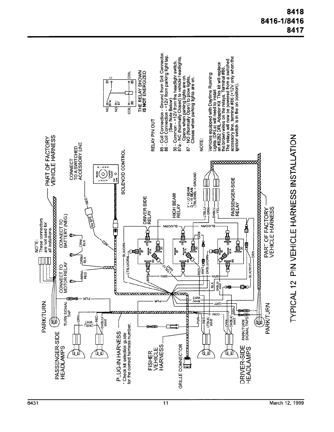